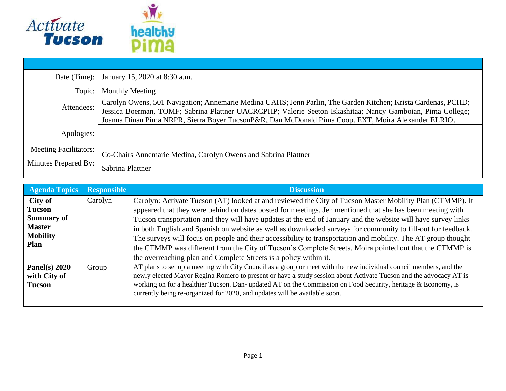

| Date (Time):                                         | January 15, 2020 at 8:30 a.m.                                                                                                                                                                                                                                                                                                      |
|------------------------------------------------------|------------------------------------------------------------------------------------------------------------------------------------------------------------------------------------------------------------------------------------------------------------------------------------------------------------------------------------|
| Topic:                                               | <b>Monthly Meeting</b>                                                                                                                                                                                                                                                                                                             |
| Attendees:                                           | Carolyn Owens, 501 Navigation; Annemarie Medina UAHS; Jenn Parlin, The Garden Kitchen; Krista Cardenas, PCHD;<br>Jessica Boerman, TOMF; Sabrina Plattner UACRCPHP; Valerie Seeton Iskashitaa; Nancy Gamboian, Pima College;<br>Joanna Dinan Pima NRPR, Sierra Boyer TucsonP&R, Dan McDonald Pima Coop. EXT, Moira Alexander ELRIO. |
| Apologies:                                           |                                                                                                                                                                                                                                                                                                                                    |
| <b>Meeting Facilitators:</b><br>Minutes Prepared By: | Co-Chairs Annemarie Medina, Carolyn Owens and Sabrina Plattner<br>Sabrina Plattner                                                                                                                                                                                                                                                 |

| <b>Agenda Topics</b>                                                                      | <b>Responsible</b> | <b>Discussion</b>                                                                                                                                                                                                                                                                                                                                                                                                                                                                                                                                                                                                                                                                  |
|-------------------------------------------------------------------------------------------|--------------------|------------------------------------------------------------------------------------------------------------------------------------------------------------------------------------------------------------------------------------------------------------------------------------------------------------------------------------------------------------------------------------------------------------------------------------------------------------------------------------------------------------------------------------------------------------------------------------------------------------------------------------------------------------------------------------|
| City of<br><b>Tucson</b><br><b>Summary of</b><br><b>Master</b><br><b>Mobility</b><br>Plan | Carolyn            | Carolyn: Activate Tucson (AT) looked at and reviewed the City of Tucson Master Mobility Plan (CTMMP). It<br>appeared that they were behind on dates posted for meetings. Jen mentioned that she has been meeting with<br>Tucson transportation and they will have updates at the end of January and the website will have survey links<br>in both English and Spanish on website as well as downloaded surveys for community to fill-out for feedback.<br>The surveys will focus on people and their accessibility to transportation and mobility. The AT group thought<br>the CTMMP was different from the City of Tucson's Complete Streets. Moira pointed out that the CTMMP is |
| Panel(s) $2020$<br>with City of<br><b>Tucson</b>                                          | Group              | the overreaching plan and Complete Streets is a policy within it.<br>AT plans to set up a meeting with City Council as a group or meet with the new individual council members, and the<br>newly elected Mayor Regina Romero to present or have a study session about Activate Tucson and the advocacy AT is<br>working on for a healthier Tucson. Dan- updated AT on the Commission on Food Security, heritage & Economy, is<br>currently being re-organized for 2020, and updates will be available soon.                                                                                                                                                                        |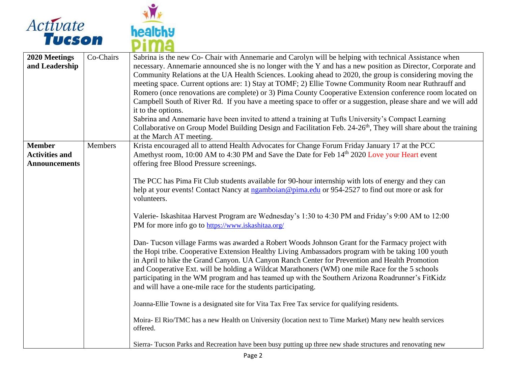



| 2020 Meetings<br>and Leadership | Co-Chairs      | Sabrina is the new Co- Chair with Annemarie and Carolyn will be helping with technical Assistance when<br>necessary. Annemarie announced she is no longer with the Y and has a new position as Director, Corporate and<br>Community Relations at the UA Health Sciences. Looking ahead to 2020, the group is considering moving the<br>meeting space. Current options are: 1) Stay at TOMF; 2) Ellie Towne Community Room near Ruthrauff and<br>Romero (once renovations are complete) or 3) Pima County Cooperative Extension conference room located on<br>Campbell South of River Rd. If you have a meeting space to offer or a suggestion, please share and we will add<br>it to the options.<br>Sabrina and Annemarie have been invited to attend a training at Tufts University's Compact Learning<br>Collaborative on Group Model Building Design and Facilitation Feb. 24-26 <sup>th</sup> , They will share about the training |
|---------------------------------|----------------|-----------------------------------------------------------------------------------------------------------------------------------------------------------------------------------------------------------------------------------------------------------------------------------------------------------------------------------------------------------------------------------------------------------------------------------------------------------------------------------------------------------------------------------------------------------------------------------------------------------------------------------------------------------------------------------------------------------------------------------------------------------------------------------------------------------------------------------------------------------------------------------------------------------------------------------------|
| <b>Member</b>                   | <b>Members</b> | at the March AT meeting.<br>Krista encouraged all to attend Health Advocates for Change Forum Friday January 17 at the PCC                                                                                                                                                                                                                                                                                                                                                                                                                                                                                                                                                                                                                                                                                                                                                                                                              |
| <b>Activities and</b>           |                | Amethyst room, 10:00 AM to 4:30 PM and Save the Date for Feb 14th 2020 Love your Heart event                                                                                                                                                                                                                                                                                                                                                                                                                                                                                                                                                                                                                                                                                                                                                                                                                                            |
| <b>Announcements</b>            |                | offering free Blood Pressure screenings.                                                                                                                                                                                                                                                                                                                                                                                                                                                                                                                                                                                                                                                                                                                                                                                                                                                                                                |
|                                 |                | The PCC has Pima Fit Club students available for 90-hour internship with lots of energy and they can<br>help at your events! Contact Nancy at ngamboian@pima.edu or 954-2527 to find out more or ask for<br>volunteers.                                                                                                                                                                                                                                                                                                                                                                                                                                                                                                                                                                                                                                                                                                                 |
|                                 |                | Valerie- Iskashitaa Harvest Program are Wednesday's 1:30 to 4:30 PM and Friday's 9:00 AM to 12:00<br>PM for more info go to https://www.iskashitaa.org/                                                                                                                                                                                                                                                                                                                                                                                                                                                                                                                                                                                                                                                                                                                                                                                 |
|                                 |                | Dan- Tucson village Farms was awarded a Robert Woods Johnson Grant for the Farmacy project with<br>the Hopi tribe. Cooperative Extension Healthy Living Ambassadors program with be taking 100 youth<br>in April to hike the Grand Canyon. UA Canyon Ranch Center for Prevention and Health Promotion<br>and Cooperative Ext. will be holding a Wildcat Marathoners (WM) one mile Race for the 5 schools<br>participating in the WM program and has teamed up with the Southern Arizona Roadrunner's FitKidz<br>and will have a one-mile race for the students participating.                                                                                                                                                                                                                                                                                                                                                           |
|                                 |                | Joanna-Ellie Towne is a designated site for Vita Tax Free Tax service for qualifying residents.                                                                                                                                                                                                                                                                                                                                                                                                                                                                                                                                                                                                                                                                                                                                                                                                                                         |
|                                 |                | Moira- El Rio/TMC has a new Health on University (location next to Time Market) Many new health services<br>offered.                                                                                                                                                                                                                                                                                                                                                                                                                                                                                                                                                                                                                                                                                                                                                                                                                    |
|                                 |                | Sierra- Tucson Parks and Recreation have been busy putting up three new shade structures and renovating new                                                                                                                                                                                                                                                                                                                                                                                                                                                                                                                                                                                                                                                                                                                                                                                                                             |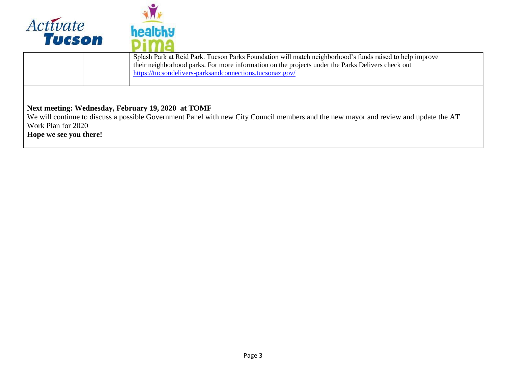



| Splash Park at Reid Park. Tucson Parks Foundation will match neighborhood's funds raised to help improve<br>their neighborhood parks. For more information on the projects under the Parks Delivers check out<br>https://tucsondelivers-parksandconnections.tucsonaz.gov/ |
|---------------------------------------------------------------------------------------------------------------------------------------------------------------------------------------------------------------------------------------------------------------------------|
|                                                                                                                                                                                                                                                                           |

## **Next meeting: Wednesday, February 19, 2020 at TOMF**

We will continue to discuss a possible Government Panel with new City Council members and the new mayor and review and update the AT Work Plan for 2020 **Hope we see you there!**

Page 3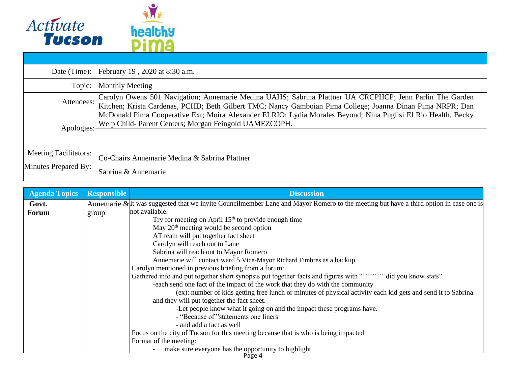

| Date (Time):                                         | February 19, 2020 at 8:30 a.m.                                                                                                                                                                                         |  |  |  |
|------------------------------------------------------|------------------------------------------------------------------------------------------------------------------------------------------------------------------------------------------------------------------------|--|--|--|
| Topic:                                               | <b>Monthly Meeting</b>                                                                                                                                                                                                 |  |  |  |
| Attendees:                                           | Carolyn Owens 501 Navigation; Annemarie Medina UAHS; Sabrina Plattner UA CRCPHCP; Jenn Parlin The Garden<br>Kitchen; Krista Cardenas, PCHD; Beth Gilbert TMC; Nancy Gamboian Pima College; Joanna Dinan Pima NRPR; Dan |  |  |  |
| Apologies:                                           | McDonald Pima Cooperative Ext; Moira Alexander ELRIO; Lydia Morales Beyond; Nina Puglisi El Rio Health, Becky<br>Welp Child- Parent Centers; Morgan Feingold UAMEZCOPH.                                                |  |  |  |
| <b>Meeting Facilitators:</b><br>Minutes Prepared By: | Co-Chairs Annemarie Medina & Sabrina Plattner<br>Sabrina & Annemarie                                                                                                                                                   |  |  |  |

| <b>Agenda Topics</b> | <b>Responsible</b> | <b>Discussion</b>                                                                                                                     |
|----------------------|--------------------|---------------------------------------------------------------------------------------------------------------------------------------|
| Govt.                |                    | Annemarie & It was suggested that we invite Councilmember Lane and Mayor Romero to the meeting but have a third option in case one is |
| <b>Forum</b>         | group              | not available.                                                                                                                        |
|                      |                    | Try for meeting on April $15th$ to provide enough time                                                                                |
|                      |                    | May $20th$ meeting would be second option                                                                                             |
|                      |                    | AT team will put together fact sheet                                                                                                  |
|                      |                    | Carolyn will reach out to Lane                                                                                                        |
|                      |                    | Sabrina will reach out to Mayor Romero                                                                                                |
|                      |                    | Annemarie will contact ward 5 Vice-Mayor Richard Fimbres as a backup                                                                  |
|                      |                    | Carolyn mentioned in previous briefing from a forum:                                                                                  |
|                      |                    | Gathered info and put together short synopsis put together facts and figures with """"""""did you know stats"                         |
|                      |                    | -each send one fact of the impact of the work that they do with the community                                                         |
|                      |                    | (ex): number of kids getting free lunch or minutes of physical activity each kid gets and send it to Sabrina                          |
|                      |                    | and they will put together the fact sheet.                                                                                            |
|                      |                    | -Let people know what it going on and the impact these programs have.                                                                 |
|                      |                    | - "Because of "statements one liners"                                                                                                 |
|                      |                    | - and add a fact as well                                                                                                              |
|                      |                    | Focus on the city of Tucson for this meeting because that is who is being impacted                                                    |
|                      |                    | Format of the meeting:                                                                                                                |
|                      |                    | make sure everyone has the opportunity to highlight                                                                                   |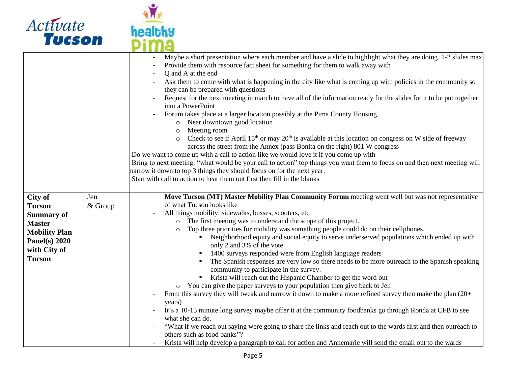



|                                                                                                                                            |                | Maybe a short presentation where each member and have a slide to highlight what they are doing. 1-2 slides max<br>Provide them with resource fact sheet for something for them to walk away with<br>Q and A at the end<br>Ask them to come with what is happening in the city like what is coming up with policies in the community so<br>they can be prepared with questions<br>Request for the next meeting in march to have all of the information ready for the slides for it to be put together<br>into a PowerPoint<br>Forum takes place at a larger location possibly at the Pima County Housing.<br>Near downtown good location<br>$\circ$<br>Meeting room<br>$\circ$<br>Check to see if April $15th$ or may $20th$ is available at this location on congress on W side of freeway<br>$\circ$<br>across the street from the Annex (pass Bonita on the right) 801 W congress<br>Do we want to come up with a call to action like we would love it if you come up with<br>Bring to next meeting: "what would be your call to action" top things you want them to focus on and then next meeting will<br>narrow it down to top 3 things they should focus on for the next year.<br>Start with call to action to hear them out first then fill in the blanks                                                                                                         |
|--------------------------------------------------------------------------------------------------------------------------------------------|----------------|--------------------------------------------------------------------------------------------------------------------------------------------------------------------------------------------------------------------------------------------------------------------------------------------------------------------------------------------------------------------------------------------------------------------------------------------------------------------------------------------------------------------------------------------------------------------------------------------------------------------------------------------------------------------------------------------------------------------------------------------------------------------------------------------------------------------------------------------------------------------------------------------------------------------------------------------------------------------------------------------------------------------------------------------------------------------------------------------------------------------------------------------------------------------------------------------------------------------------------------------------------------------------------------------------------------------------------------------------------------------------|
| City of<br><b>Tucson</b><br><b>Summary of</b><br><b>Master</b><br><b>Mobility Plan</b><br>Panel(s) $2020$<br>with City of<br><b>Tucson</b> | Jen<br>& Group | Move Tucson (MT) Master Mobility Plan Community Forum meeting went well but was not representative<br>of what Tucson looks like<br>All things mobility: sidewalks, busses, scooters, etc<br>The first meeting was to understand the scope of this project.<br>Top three priorities for mobility was something people could do on their cellphones.<br>$\circ$<br>Neighborhood equity and social equity to serve underserved populations which ended up with<br>only 2 and 3% of the vote<br>1400 surveys responded were from English language readers<br>The Spanish responses are very low so there needs to be more outreach to the Spanish speaking<br>community to participate in the survey.<br>Krista will reach out the Hispanic Chamber to get the word out<br>• You can give the paper surveys to your population then give back to Jen<br>From this survey they will tweak and narrow it down to make a more refined survey then make the plan (20+<br>years)<br>It's a 10-15 minute long survey maybe offer it at the community foodbanks go through Ronda at CFB to see<br>what she can do.<br>"What if we reach out saying were going to share the links and reach out to the wards first and then outreach to<br>others such as food banks"?<br>Krista will help develop a paragraph to call for action and Annemarie will send the email out to the wards |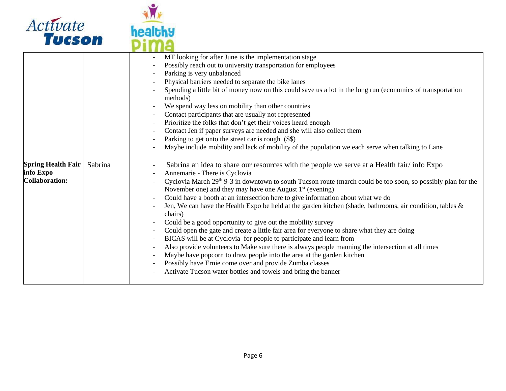

![](_page_5_Picture_1.jpeg)

| <b>Spring Health Fair</b><br>Sabrina<br>info Expo<br><b>Collaboration:</b> |
|----------------------------------------------------------------------------|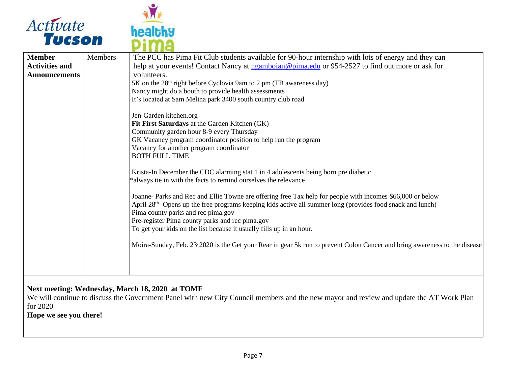![](_page_6_Picture_0.jpeg)

![](_page_6_Picture_1.jpeg)

| <b>Member</b>         | <b>Members</b> | The PCC has Pima Fit Club students available for 90-hour internship with lots of energy and they can                                                                                                                                                                                                                                                                                                  |
|-----------------------|----------------|-------------------------------------------------------------------------------------------------------------------------------------------------------------------------------------------------------------------------------------------------------------------------------------------------------------------------------------------------------------------------------------------------------|
| <b>Activities and</b> |                | help at your events! Contact Nancy at ngamboian@pima.edu or 954-2527 to find out more or ask for                                                                                                                                                                                                                                                                                                      |
| <b>Announcements</b>  |                | volunteers.                                                                                                                                                                                                                                                                                                                                                                                           |
|                       |                | 5K on the 28 <sup>th</sup> right before Cyclovia 9am to 2 pm (TB awareness day)                                                                                                                                                                                                                                                                                                                       |
|                       |                | Nancy might do a booth to provide health assessments                                                                                                                                                                                                                                                                                                                                                  |
|                       |                | It's located at Sam Melina park 3400 south country club road                                                                                                                                                                                                                                                                                                                                          |
|                       |                | Jen-Garden kitchen.org                                                                                                                                                                                                                                                                                                                                                                                |
|                       |                | Fit First Saturdays at the Garden Kitchen (GK)                                                                                                                                                                                                                                                                                                                                                        |
|                       |                | Community garden hour 8-9 every Thursday                                                                                                                                                                                                                                                                                                                                                              |
|                       |                | GK Vacancy program coordinator position to help run the program                                                                                                                                                                                                                                                                                                                                       |
|                       |                | Vacancy for another program coordinator                                                                                                                                                                                                                                                                                                                                                               |
|                       |                | <b>BOTH FULL TIME</b>                                                                                                                                                                                                                                                                                                                                                                                 |
|                       |                | Krista-In December the CDC alarming stat 1 in 4 adolescents being born pre diabetic<br>*always tie in with the facts to remind ourselves the relevance                                                                                                                                                                                                                                                |
|                       |                | Joanne- Parks and Rec and Ellie Towne are offering free Tax help for people with incomes \$66,000 or below<br>April 28 <sup>th.</sup> Opens up the free programs keeping kids active all summer long (provides food snack and lunch)<br>Pima county parks and rec pima.gov<br>Pre-register Pima county parks and rec pima.gov<br>To get your kids on the list because it usually fills up in an hour. |
|                       |                | Moira-Sunday, Feb. 23 2020 is the Get your Rear in gear 5k run to prevent Colon Cancer and bring awareness to the disease                                                                                                                                                                                                                                                                             |

## **Next meeting: Wednesday, March 18, 2020 at TOMF**

We will continue to discuss the Government Panel with new City Council members and the new mayor and review and update the AT Work Plan for 2020

**Hope we see you there!**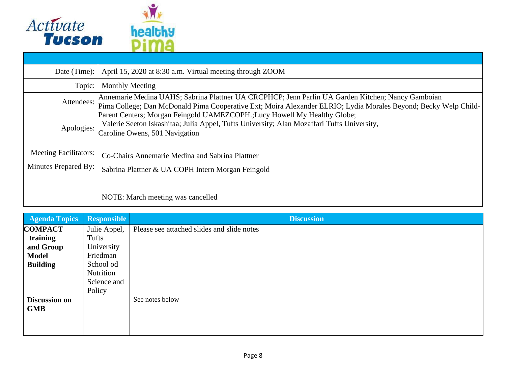![](_page_7_Picture_0.jpeg)

| Date (Time): $\vert$                                 | April 15, 2020 at 8:30 a.m. Virtual meeting through ZOOM                                                                                                                                                             |  |  |
|------------------------------------------------------|----------------------------------------------------------------------------------------------------------------------------------------------------------------------------------------------------------------------|--|--|
| Topic:                                               | <b>Monthly Meeting</b>                                                                                                                                                                                               |  |  |
| Attendees:                                           | Annemarie Medina UAHS; Sabrina Plattner UA CRCPHCP; Jenn Parlin UA Garden Kitchen; Nancy Gamboian<br>Pima College; Dan McDonald Pima Cooperative Ext; Moira Alexander ELRIO; Lydia Morales Beyond; Becky Welp Child- |  |  |
| Apologies:                                           | Parent Centers; Morgan Feingold UAMEZCOPH.; Lucy Howell My Healthy Globe;<br>Valerie Seeton Iskashitaa; Julia Appel, Tufts University; Alan Mozaffari Tufts University,<br>Caroline Owens, 501 Navigation            |  |  |
| <b>Meeting Facilitators:</b><br>Minutes Prepared By: | Co-Chairs Annemarie Medina and Sabrina Plattner<br>Sabrina Plattner & UA COPH Intern Morgan Feingold                                                                                                                 |  |  |
|                                                      | NOTE: March meeting was cancelled                                                                                                                                                                                    |  |  |

| <b>Agenda Topics</b> | <b>Responsible</b> | <b>Discussion</b>                          |
|----------------------|--------------------|--------------------------------------------|
| <b>COMPACT</b>       | Julie Appel,       | Please see attached slides and slide notes |
| training             | Tufts              |                                            |
| and Group            | University         |                                            |
| <b>Model</b>         | Friedman           |                                            |
| <b>Building</b>      | School od          |                                            |
|                      | Nutrition          |                                            |
|                      | Science and        |                                            |
|                      | Policy             |                                            |
| <b>Discussion on</b> |                    | See notes below                            |
| <b>GMB</b>           |                    |                                            |
|                      |                    |                                            |
|                      |                    |                                            |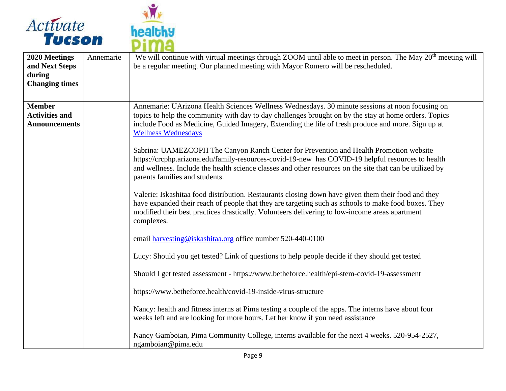![](_page_8_Picture_0.jpeg)

![](_page_8_Picture_1.jpeg)

| 2020 Meetings<br>and Next Steps<br>during<br><b>Changing times</b> | Annemarie | We will continue with virtual meetings through ZOOM until able to meet in person. The May 20 <sup>th</sup> meeting will<br>be a regular meeting. Our planned meeting with Mayor Romero will be rescheduled.                                                                                                                                                                                                                                                                                                                                                                                                                                                                                                                                                                                                                                                                                                                                                                                                                                                                                                                                                                                                                                                                                                                                                                                                                                                                                                                                       |
|--------------------------------------------------------------------|-----------|---------------------------------------------------------------------------------------------------------------------------------------------------------------------------------------------------------------------------------------------------------------------------------------------------------------------------------------------------------------------------------------------------------------------------------------------------------------------------------------------------------------------------------------------------------------------------------------------------------------------------------------------------------------------------------------------------------------------------------------------------------------------------------------------------------------------------------------------------------------------------------------------------------------------------------------------------------------------------------------------------------------------------------------------------------------------------------------------------------------------------------------------------------------------------------------------------------------------------------------------------------------------------------------------------------------------------------------------------------------------------------------------------------------------------------------------------------------------------------------------------------------------------------------------------|
| <b>Member</b><br><b>Activities and</b><br><b>Announcements</b>     |           | Annemarie: UArizona Health Sciences Wellness Wednesdays. 30 minute sessions at noon focusing on<br>topics to help the community with day to day challenges brought on by the stay at home orders. Topics<br>include Food as Medicine, Guided Imagery, Extending the life of fresh produce and more. Sign up at<br><b>Wellness Wednesdays</b><br>Sabrina: UAMEZCOPH The Canyon Ranch Center for Prevention and Health Promotion website<br>https://crcphp.arizona.edu/family-resources-covid-19-new has COVID-19 helpful resources to health<br>and wellness. Include the health science classes and other resources on the site that can be utilized by<br>parents families and students.<br>Valerie: Iskashitaa food distribution. Restaurants closing down have given them their food and they<br>have expanded their reach of people that they are targeting such as schools to make food boxes. They<br>modified their best practices drastically. Volunteers delivering to low-income areas apartment<br>complexes.<br>email harvesting@iskashitaa.org office number 520-440-0100<br>Lucy: Should you get tested? Link of questions to help people decide if they should get tested<br>Should I get tested assessment - https://www.betheforce.health/epi-stem-covid-19-assessment<br>https://www.betheforce.health/covid-19-inside-virus-structure<br>Nancy: health and fitness interns at Pima testing a couple of the apps. The interns have about four<br>weeks left and are looking for more hours. Let her know if you need assistance |
|                                                                    |           | Nancy Gamboian, Pima Community College, interns available for the next 4 weeks. 520-954-2527,<br>ngamboian@pima.edu                                                                                                                                                                                                                                                                                                                                                                                                                                                                                                                                                                                                                                                                                                                                                                                                                                                                                                                                                                                                                                                                                                                                                                                                                                                                                                                                                                                                                               |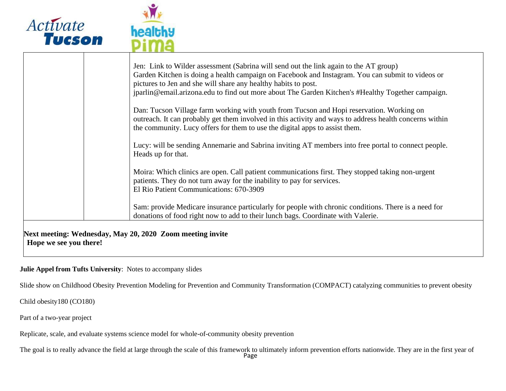![](_page_9_Picture_0.jpeg)

| Jen: Link to Wilder assessment (Sabrina will send out the link again to the AT group)<br>Garden Kitchen is doing a health campaign on Facebook and Instagram. You can submit to videos or                                                                                          |
|------------------------------------------------------------------------------------------------------------------------------------------------------------------------------------------------------------------------------------------------------------------------------------|
| pictures to Jen and she will share any healthy habits to post.<br>jparlin@email.arizona.edu to find out more about The Garden Kitchen's #Healthy Together campaign.                                                                                                                |
| Dan: Tucson Village farm working with youth from Tucson and Hopi reservation. Working on<br>outreach. It can probably get them involved in this activity and ways to address health concerns within<br>the community. Lucy offers for them to use the digital apps to assist them. |
| Lucy: will be sending Annemarie and Sabrina inviting AT members into free portal to connect people.<br>Heads up for that.                                                                                                                                                          |
| Moira: Which clinics are open. Call patient communications first. They stopped taking non-urgent<br>patients. They do not turn away for the inability to pay for services.<br>El Rio Patient Communications: 670-3909                                                              |
| Sam: provide Medicare insurance particularly for people with chronic conditions. There is a need for<br>donations of food right now to add to their lunch bags. Coordinate with Valerie.                                                                                           |

## **Julie Appel from Tufts University**: Notes to accompany slides

Slide show on Childhood Obesity Prevention Modeling for Prevention and Community Transformation (COMPACT) catalyzing communities to prevent obesity

Child obesity180 (CO180)

Part of a two-year project

Replicate, scale, and evaluate systems science model for whole-of-community obesity prevention

The goal is to really advance the field at large through the scale of this framework to ultimately inform prevention efforts nationwide. They are in the first year of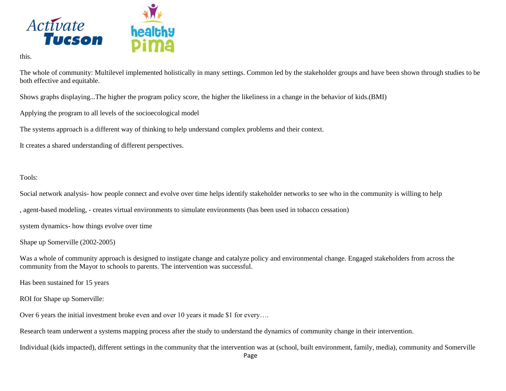![](_page_10_Picture_0.jpeg)

this.

The whole of community: Multilevel implemented holistically in many settings. Common led by the stakeholder groups and have been shown through studies to be both effective and equitable.

Shows graphs displaying...The higher the program policy score, the higher the likeliness in a change in the behavior of kids.(BMI)

Applying the program to all levels of the socioecological model

The systems approach is a different way of thinking to help understand complex problems and their context.

It creates a shared understanding of different perspectives.

Tools:

Social network analysis- how people connect and evolve over time helps identify stakeholder networks to see who in the community is willing to help

, agent-based modeling, - creates virtual environments to simulate environments (has been used in tobacco cessation)

system dynamics- how things evolve over time

Shape up Somerville (2002-2005)

Was a whole of community approach is designed to instigate change and catalyze policy and environmental change. Engaged stakeholders from across the community from the Mayor to schools to parents. The intervention was successful.

Has been sustained for 15 years

ROI for Shape up Somerville:

Over 6 years the initial investment broke even and over 10 years it made \$1 for every….

Research team underwent a systems mapping process after the study to understand the dynamics of community change in their intervention.

Individual (kids impacted), different settings in the community that the intervention was at (school, built environment, family, media), community and Somerville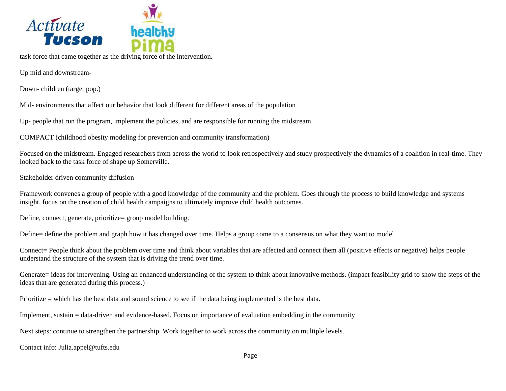![](_page_11_Picture_0.jpeg)

task force that came together as the driving force of the intervention.

Up mid and downstream-

Down- children (target pop.)

Mid- environments that affect our behavior that look different for different areas of the population

Up- people that run the program, implement the policies, and are responsible for running the midstream.

COMPACT (childhood obesity modeling for prevention and community transformation)

Focused on the midstream. Engaged researchers from across the world to look retrospectively and study prospectively the dynamics of a coalition in real-time. They looked back to the task force of shape up Somerville.

Stakeholder driven community diffusion

Framework convenes a group of people with a good knowledge of the community and the problem. Goes through the process to build knowledge and systems insight, focus on the creation of child health campaigns to ultimately improve child health outcomes.

Define, connect, generate, prioritize= group model building.

Define= define the problem and graph how it has changed over time. Helps a group come to a consensus on what they want to model

Connect= People think about the problem over time and think about variables that are affected and connect them all (positive effects or negative) helps people understand the structure of the system that is driving the trend over time.

Generate= ideas for intervening. Using an enhanced understanding of the system to think about innovative methods. (impact feasibility grid to show the steps of the ideas that are generated during this process.)

Prioritize = which has the best data and sound science to see if the data being implemented is the best data.

Implement, sustain = data-driven and evidence-based. Focus on importance of evaluation embedding in the community

Next steps: continue to strengthen the partnership. Work together to work across the community on multiple levels.

Contact info: Julia.appel@tufts.edu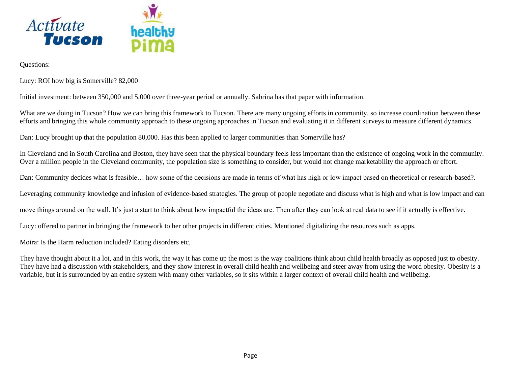![](_page_12_Picture_0.jpeg)

Questions:

Lucy: ROI how big is Somerville? 82,000

Initial investment: between 350,000 and 5,000 over three-year period or annually. Sabrina has that paper with information.

What are we doing in Tucson? How we can bring this framework to Tucson. There are many ongoing efforts in community, so increase coordination between these efforts and bringing this whole community approach to these ongoing approaches in Tucson and evaluating it in different surveys to measure different dynamics.

Dan: Lucy brought up that the population 80,000. Has this been applied to larger communities than Somerville has?

In Cleveland and in South Carolina and Boston, they have seen that the physical boundary feels less important than the existence of ongoing work in the community. Over a million people in the Cleveland community, the population size is something to consider, but would not change marketability the approach or effort.

Dan: Community decides what is feasible… how some of the decisions are made in terms of what has high or low impact based on theoretical or research-based?.

Leveraging community knowledge and infusion of evidence-based strategies. The group of people negotiate and discuss what is high and what is low impact and can

move things around on the wall. It's just a start to think about how impactful the ideas are. Then after they can look at real data to see if it actually is effective.

Lucy: offered to partner in bringing the framework to her other projects in different cities. Mentioned digitalizing the resources such as apps.

Moira: Is the Harm reduction included? Eating disorders etc.

They have thought about it a lot, and in this work, the way it has come up the most is the way coalitions think about child health broadly as opposed just to obesity. They have had a discussion with stakeholders, and they show interest in overall child health and wellbeing and steer away from using the word obesity. Obesity is a variable, but it is surrounded by an entire system with many other variables, so it sits within a larger context of overall child health and wellbeing.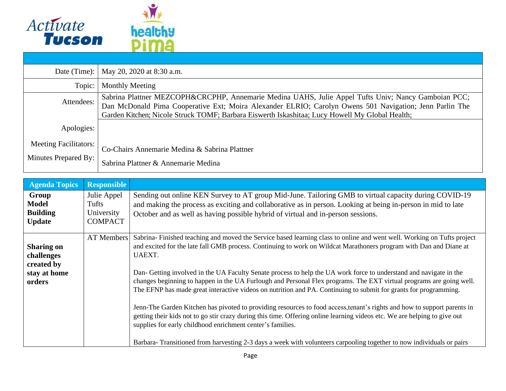![](_page_13_Picture_0.jpeg)

| Date (Time): $\vert$                                 | May 20, 2020 at 8:30 a.m.                                                                                                                                                                                                                                                                                        |
|------------------------------------------------------|------------------------------------------------------------------------------------------------------------------------------------------------------------------------------------------------------------------------------------------------------------------------------------------------------------------|
| Topic:                                               | <b>Monthly Meeting</b>                                                                                                                                                                                                                                                                                           |
| Attendees:                                           | Sabrina Plattner MEZCOPH&CRCPHP, Annemarie Medina UAHS, Julie Appel Tufts Univ; Nancy Gamboian PCC;<br>Dan McDonald Pima Cooperative Ext; Moira Alexander ELRIO; Carolyn Owens 501 Navigation; Jenn Parlin The<br>Garden Kitchen; Nicole Struck TOMF; Barbara Eiswerth Iskashitaa; Lucy Howell My Global Health; |
| Apologies:                                           |                                                                                                                                                                                                                                                                                                                  |
| <b>Meeting Facilitators:</b><br>Minutes Prepared By: | Co-Chairs Annemarie Medina & Sabrina Plattner<br>Sabrina Plattner & Annemarie Medina                                                                                                                                                                                                                             |

| <b>Agenda Topics</b>                                                    | <b>Responsible</b>                                   |                                                                                                                                                                                                                                                                                                                                                                                                                                                                                                                                                                                                                                                                                                                                                                                                                                                                                                                                                                                                                                                                               |
|-------------------------------------------------------------------------|------------------------------------------------------|-------------------------------------------------------------------------------------------------------------------------------------------------------------------------------------------------------------------------------------------------------------------------------------------------------------------------------------------------------------------------------------------------------------------------------------------------------------------------------------------------------------------------------------------------------------------------------------------------------------------------------------------------------------------------------------------------------------------------------------------------------------------------------------------------------------------------------------------------------------------------------------------------------------------------------------------------------------------------------------------------------------------------------------------------------------------------------|
| Group<br><b>Model</b><br><b>Building</b><br><b>Update</b>               | Julie Appel<br>Tufts<br>University<br><b>COMPACT</b> | Sending out online KEN Survey to AT group Mid-June. Tailoring GMB to virtual capacity during COVID-19<br>and making the process as exciting and collaborative as in person. Looking at being in-person in mid to late<br>October and as well as having possible hybrid of virtual and in-person sessions.                                                                                                                                                                                                                                                                                                                                                                                                                                                                                                                                                                                                                                                                                                                                                                     |
| <b>Sharing on</b><br>challenges<br>created by<br>stay at home<br>orders | AT Members                                           | Sabrina-Finished teaching and moved the Service based learning class to online and went well. Working on Tufts project<br>and excited for the late fall GMB process. Continuing to work on Wildcat Marathoners program with Dan and Diane at<br><b>UAEXT.</b><br>Dan- Getting involved in the UA Faculty Senate process to help the UA work force to understand and navigate in the<br>changes beginning to happen in the UA Furlough and Personal Flex programs. The EXT virtual programs are going well.<br>The EFNP has made great interactive videos on nutrition and PA. Continuing to submit for grants for programming.<br>Jenn-The Garden Kitchen has pivoted to providing resources to food access, tenant's rights and how to support parents in<br>getting their kids not to go stir crazy during this time. Offering online learning videos etc. We are helping to give out<br>supplies for early childhood enrichment center's families.<br>Barbara-Transitioned from harvesting 2-3 days a week with volunteers carpooling together to now individuals or pairs |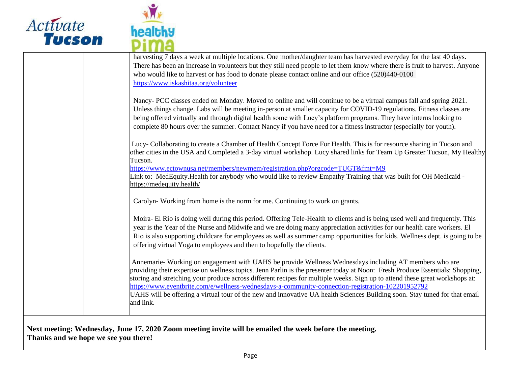![](_page_14_Picture_0.jpeg)

![](_page_14_Picture_1.jpeg)

| harvesting 7 days a week at multiple locations. One mother/daughter team has harvested everyday for the last 40 days.<br>There has been an increase in volunteers but they still need people to let them know where there is fruit to harvest. Anyone<br>who would like to harvest or has food to donate please contact online and our office (520)440-0100<br>https://www.iskashitaa.org/volunteer                                                                                       |
|-------------------------------------------------------------------------------------------------------------------------------------------------------------------------------------------------------------------------------------------------------------------------------------------------------------------------------------------------------------------------------------------------------------------------------------------------------------------------------------------|
| Nancy- PCC classes ended on Monday. Moved to online and will continue to be a virtual campus fall and spring 2021.<br>Unless things change. Labs will be meeting in-person at smaller capacity for COVID-19 regulations. Fitness classes are<br>being offered virtually and through digital health some with Lucy's platform programs. They have interns looking to<br>complete 80 hours over the summer. Contact Nancy if you have need for a fitness instructor (especially for youth). |
| Lucy-Collaborating to create a Chamber of Health Concept Force For Health. This is for resource sharing in Tucson and<br>other cities in the USA and Completed a 3-day virtual workshop. Lucy shared links for Team Up Greater Tucson, My Healthy<br>Tucson.                                                                                                                                                                                                                              |
| https://www.ectownusa.net/members/newmem/registration.php?orgcode=TUGT&fmt=M9<br>Link to: MedEquity.Health for anybody who would like to review Empathy Training that was built for OH Medicaid -<br>https://medequity.health/                                                                                                                                                                                                                                                            |
| Carolyn-Working from home is the norm for me. Continuing to work on grants.                                                                                                                                                                                                                                                                                                                                                                                                               |
| Moira- El Rio is doing well during this period. Offering Tele-Health to clients and is being used well and frequently. This<br>year is the Year of the Nurse and Midwife and we are doing many appreciation activities for our health care workers. El<br>Rio is also supporting childcare for employees as well as summer camp opportunities for kids. Wellness dept. is going to be<br>offering virtual Yoga to employees and then to hopefully the clients.                            |
| Annemarie- Working on engagement with UAHS be provide Wellness Wednesdays including AT members who are<br>providing their expertise on wellness topics. Jenn Parlin is the presenter today at Noon: Fresh Produce Essentials: Shopping,<br>storing and stretching your produce across different recipes for multiple weeks. Sign up to attend these great workshops at:<br>https://www.eventbrite.com/e/wellness-wednesdays-a-community-connection-registration-102201952792              |
| UAHS will be offering a virtual tour of the new and innovative UA health Sciences Building soon. Stay tuned for that email<br>and link.                                                                                                                                                                                                                                                                                                                                                   |
|                                                                                                                                                                                                                                                                                                                                                                                                                                                                                           |

**Next meeting: Wednesday, June 17, 2020 Zoom meeting invite will be emailed the week before the meeting. Thanks and we hope we see you there!**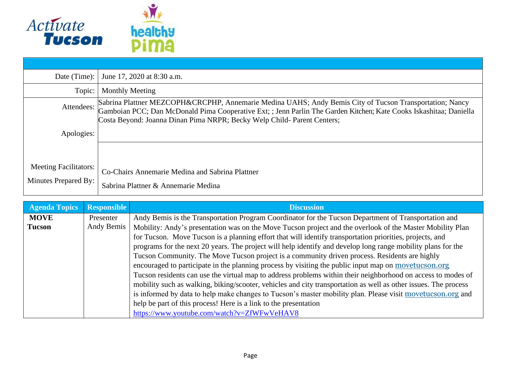![](_page_15_Picture_0.jpeg)

| Date (Time):                                         | June 17, 2020 at 8:30 a.m.                                                                                                                                                                                                                                                                               |
|------------------------------------------------------|----------------------------------------------------------------------------------------------------------------------------------------------------------------------------------------------------------------------------------------------------------------------------------------------------------|
| Topic:                                               | <b>Monthly Meeting</b>                                                                                                                                                                                                                                                                                   |
| Attendees:                                           | Sabrina Plattner MEZCOPH&CRCPHP, Annemarie Medina UAHS; Andy Bemis City of Tucson Transportation; Nancy<br>Gamboian PCC; Dan McDonald Pima Cooperative Ext; ; Jenn Parlin The Garden Kitchen; Kate Cooks Iskashitaa; Daniella<br>Costa Beyond: Joanna Dinan Pima NRPR; Becky Welp Child- Parent Centers; |
| Apologies:                                           |                                                                                                                                                                                                                                                                                                          |
|                                                      |                                                                                                                                                                                                                                                                                                          |
| <b>Meeting Facilitators:</b><br>Minutes Prepared By: | Co-Chairs Annemarie Medina and Sabrina Plattner                                                                                                                                                                                                                                                          |
|                                                      | Sabrina Plattner & Annemarie Medina                                                                                                                                                                                                                                                                      |

| <b>Agenda Topics</b> | <b>Responsible</b> | <b>Discussion</b>                                                                                               |
|----------------------|--------------------|-----------------------------------------------------------------------------------------------------------------|
| <b>MOVE</b>          | Presenter          | Andy Bemis is the Transportation Program Coordinator for the Tucson Department of Transportation and            |
| <b>Tucson</b>        | Andy Bemis         | Mobility: Andy's presentation was on the Move Tucson project and the overlook of the Master Mobility Plan       |
|                      |                    | for Tucson. Move Tucson is a planning effort that will identify transportation priorities, projects, and        |
|                      |                    | programs for the next 20 years. The project will help identify and develop long range mobility plans for the    |
|                      |                    | Tucson Community. The Move Tucson project is a community driven process. Residents are highly                   |
|                      |                    | encouraged to participate in the planning process by visiting the public input map on movetucson.org            |
|                      |                    | Tucson residents can use the virtual map to address problems within their neighborhood on access to modes of    |
|                      |                    | mobility such as walking, biking/scooter, vehicles and city transportation as well as other issues. The process |
|                      |                    | is informed by data to help make changes to Tucson's master mobility plan. Please visit movetucson.org and      |
|                      |                    | help be part of this process! Here is a link to the presentation                                                |
|                      |                    | https://www.youtube.com/watch?v=ZfWFwVeHAV8                                                                     |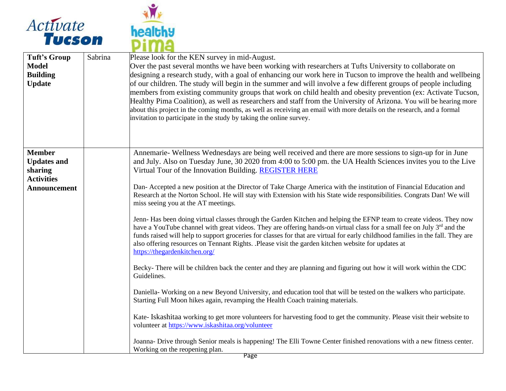![](_page_16_Picture_0.jpeg)

![](_page_16_Picture_1.jpeg)

| <b>Tuft's Group</b><br><b>Model</b><br><b>Building</b><br><b>Update</b> | Sabrina | Please look for the KEN survey in mid-August.<br>Over the past several months we have been working with researchers at Tufts University to collaborate on<br>designing a research study, with a goal of enhancing our work here in Tucson to improve the health and wellbeing<br>of our children. The study will begin in the summer and will involve a few different groups of people including<br>members from existing community groups that work on child health and obesity prevention (ex: Activate Tucson,<br>Healthy Pima Coalition), as well as researchers and staff from the University of Arizona. You will be hearing more<br>about this project in the coming months, as well as receiving an email with more details on the research, and a formal<br>invitation to participate in the study by taking the online survey. |
|-------------------------------------------------------------------------|---------|------------------------------------------------------------------------------------------------------------------------------------------------------------------------------------------------------------------------------------------------------------------------------------------------------------------------------------------------------------------------------------------------------------------------------------------------------------------------------------------------------------------------------------------------------------------------------------------------------------------------------------------------------------------------------------------------------------------------------------------------------------------------------------------------------------------------------------------|
| <b>Member</b>                                                           |         | Annemarie-Wellness Wednesdays are being well received and there are more sessions to sign-up for in June                                                                                                                                                                                                                                                                                                                                                                                                                                                                                                                                                                                                                                                                                                                                 |
| <b>Updates and</b><br>sharing                                           |         | and July. Also on Tuesday June, 30 2020 from 4:00 to 5:00 pm. the UA Health Sciences invites you to the Live<br>Virtual Tour of the Innovation Building. REGISTER HERE                                                                                                                                                                                                                                                                                                                                                                                                                                                                                                                                                                                                                                                                   |
| <b>Activities</b><br><b>Announcement</b>                                |         | Dan- Accepted a new position at the Director of Take Charge America with the institution of Financial Education and<br>Research at the Norton School. He will stay with Extension with his State wide responsibilities. Congrats Dan! We will<br>miss seeing you at the AT meetings.                                                                                                                                                                                                                                                                                                                                                                                                                                                                                                                                                     |
|                                                                         |         | Jenn- Has been doing virtual classes through the Garden Kitchen and helping the EFNP team to create videos. They now<br>have a YouTube channel with great videos. They are offering hands-on virtual class for a small fee on July 3rd and the<br>funds raised will help to support groceries for classes for that are virtual for early childhood families in the fall. They are<br>also offering resources on Tennant Rights. .Please visit the garden kitchen website for updates at<br>https://thegardenkitchen.org/                                                                                                                                                                                                                                                                                                                 |
|                                                                         |         | Becky-There will be children back the center and they are planning and figuring out how it will work within the CDC<br>Guidelines.                                                                                                                                                                                                                                                                                                                                                                                                                                                                                                                                                                                                                                                                                                       |
|                                                                         |         | Daniella-Working on a new Beyond University, and education tool that will be tested on the walkers who participate.<br>Starting Full Moon hikes again, revamping the Health Coach training materials.                                                                                                                                                                                                                                                                                                                                                                                                                                                                                                                                                                                                                                    |
|                                                                         |         | Kate- Iskashitaa working to get more volunteers for harvesting food to get the community. Please visit their website to<br>volunteer at https://www.iskashitaa.org/volunteer                                                                                                                                                                                                                                                                                                                                                                                                                                                                                                                                                                                                                                                             |
|                                                                         |         | Joanna- Drive through Senior meals is happening! The Elli Towne Center finished renovations with a new fitness center.<br>Working on the reopening plan.                                                                                                                                                                                                                                                                                                                                                                                                                                                                                                                                                                                                                                                                                 |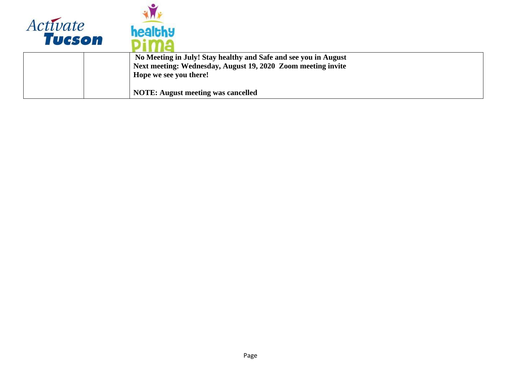![](_page_17_Picture_0.jpeg)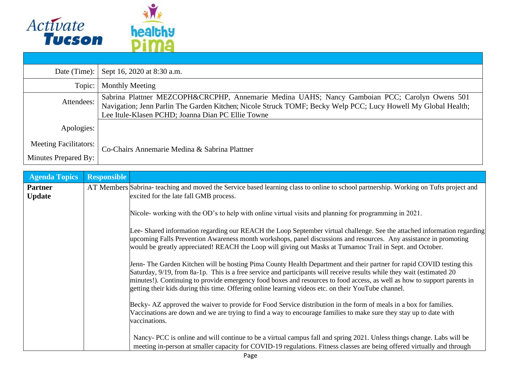![](_page_18_Picture_0.jpeg)

| Date (Time):                 | Sept 16, 2020 at 8:30 a.m.                                                                                                                                                                                                                                          |
|------------------------------|---------------------------------------------------------------------------------------------------------------------------------------------------------------------------------------------------------------------------------------------------------------------|
| Topic:                       | <b>Monthly Meeting</b>                                                                                                                                                                                                                                              |
| Attendees:                   | Sabrina Plattner MEZCOPH&CRCPHP, Annemarie Medina UAHS; Nancy Gamboian PCC; Carolyn Owens 501<br>Navigation; Jenn Parlin The Garden Kitchen; Nicole Struck TOMF; Becky Welp PCC; Lucy Howell My Global Health;<br>Lee Itule-Klasen PCHD; Joanna Dian PC Ellie Towne |
| Apologies:                   |                                                                                                                                                                                                                                                                     |
| <b>Meeting Facilitators:</b> | Co-Chairs Annemarie Medina & Sabrina Plattner                                                                                                                                                                                                                       |
| Minutes Prepared By:         |                                                                                                                                                                                                                                                                     |

| <b>Agenda Topics</b>            | <b>Responsible</b> |                                                                                                                                                                                                                                                                                                                                                                                                                                                                                   |
|---------------------------------|--------------------|-----------------------------------------------------------------------------------------------------------------------------------------------------------------------------------------------------------------------------------------------------------------------------------------------------------------------------------------------------------------------------------------------------------------------------------------------------------------------------------|
| <b>Partner</b><br><b>Update</b> |                    | AT Members Sabrina- teaching and moved the Service based learning class to online to school partnership. Working on Tufts project and<br>excited for the late fall GMB process.                                                                                                                                                                                                                                                                                                   |
|                                 |                    | Nicole- working with the OD's to help with online virtual visits and planning for programming in 2021.                                                                                                                                                                                                                                                                                                                                                                            |
|                                 |                    | Lee-Shared information regarding our REACH the Loop September virtual challenge. See the attached information regarding<br>upcoming Falls Prevention Awareness month workshops, panel discussions and resources. Any assistance in promoting<br>would be greatly appreciated! REACH the Loop will giving out Masks at Tumamoc Trail in Sept. and October.                                                                                                                         |
|                                 |                    | Jenn-The Garden Kitchen will be hosting Pima County Health Department and their partner for rapid COVID testing this<br>Saturday, 9/19, from 8a-1p. This is a free service and participants will receive results while they wait (estimated 20<br>minutes!). Continuing to provide emergency food boxes and resources to food access, as well as how to support parents in<br>getting their kids during this time. Offering online learning videos etc. on their YouTube channel. |
|                                 |                    | Becky- AZ approved the waiver to provide for Food Service distribution in the form of meals in a box for families.<br>Vaccinations are down and we are trying to find a way to encourage families to make sure they stay up to date with<br>vaccinations.                                                                                                                                                                                                                         |
|                                 |                    | Nancy- PCC is online and will continue to be a virtual campus fall and spring 2021. Unless things change. Labs will be<br>meeting in-person at smaller capacity for COVID-19 regulations. Fitness classes are being offered virtually and through                                                                                                                                                                                                                                 |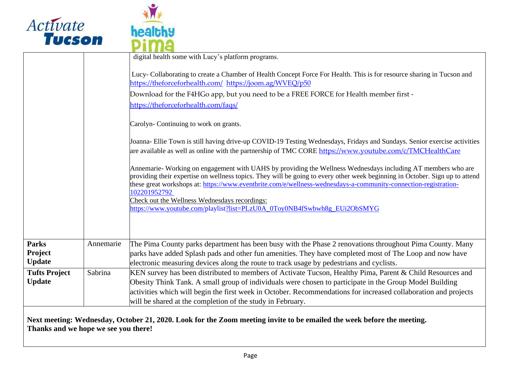![](_page_19_Picture_0.jpeg)

![](_page_19_Picture_1.jpeg)

|                         |           | digital health some with Lucy's platform programs.                                                                                                                                                                                                                                                                                                              |
|-------------------------|-----------|-----------------------------------------------------------------------------------------------------------------------------------------------------------------------------------------------------------------------------------------------------------------------------------------------------------------------------------------------------------------|
|                         |           | Lucy-Collaborating to create a Chamber of Health Concept Force For Health. This is for resource sharing in Tucson and<br>https://theforceforhealth.com/ https://joom.ag/WVEQ/p50                                                                                                                                                                                |
|                         |           | Download for the F4HGo app, but you need to be a FREE FORCE for Health member first -                                                                                                                                                                                                                                                                           |
|                         |           | https://theforceforhealth.com/faqs/                                                                                                                                                                                                                                                                                                                             |
|                         |           | Carolyn-Continuing to work on grants.                                                                                                                                                                                                                                                                                                                           |
|                         |           | Joanna- Ellie Town is still having drive-up COVID-19 Testing Wednesdays, Fridays and Sundays. Senior exercise activities<br>are available as well as online with the partnership of TMC CORE https://www.youtube.com/c/TMCHealthCare                                                                                                                            |
|                         |           | Annemarie- Working on engagement with UAHS by providing the Wellness Wednesdays including AT members who are<br>providing their expertise on wellness topics. They will be going to every other week beginning in October. Sign up to attend<br>these great workshops at: https://www.eventbrite.com/e/wellness-wednesdays-a-community-connection-registration- |
|                         |           | 102201952792                                                                                                                                                                                                                                                                                                                                                    |
|                         |           | Check out the Wellness Wednesdays recordings:<br>https://www.youtube.com/playlist?list=PLzU0A_0Toy0NB4fSwbwh8g_EUi2ObSMYG                                                                                                                                                                                                                                       |
|                         |           |                                                                                                                                                                                                                                                                                                                                                                 |
|                         |           |                                                                                                                                                                                                                                                                                                                                                                 |
| <b>Parks</b><br>Project | Annemarie | The Pima County parks department has been busy with the Phase 2 renovations throughout Pima County. Many<br>parks have added Splash pads and other fun amenities. They have completed most of The Loop and now have                                                                                                                                             |
| <b>Update</b>           |           | electronic measuring devices along the route to track usage by pedestrians and cyclists.                                                                                                                                                                                                                                                                        |
| <b>Tufts Project</b>    | Sabrina   | KEN survey has been distributed to members of Activate Tucson, Healthy Pima, Parent & Child Resources and                                                                                                                                                                                                                                                       |
| <b>Update</b>           |           | Obesity Think Tank. A small group of individuals were chosen to participate in the Group Model Building                                                                                                                                                                                                                                                         |
|                         |           | activities which will begin the first week in October. Recommendations for increased collaboration and projects<br>will be shared at the completion of the study in February.                                                                                                                                                                                   |
|                         |           |                                                                                                                                                                                                                                                                                                                                                                 |

**Next meeting: Wednesday, October 21, 2020. Look for the Zoom meeting invite to be emailed the week before the meeting. Thanks and we hope we see you there!**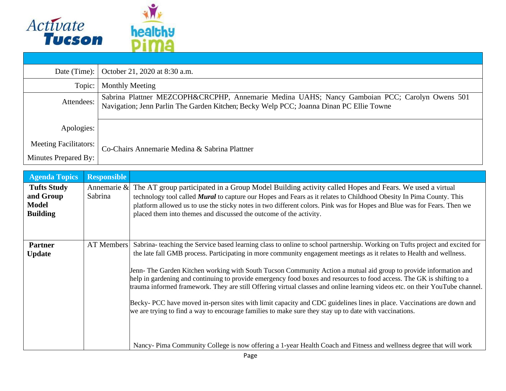![](_page_20_Picture_0.jpeg)

| Date (Time):                 | October 21, 2020 at 8:30 a.m.                                                                                                                                                            |
|------------------------------|------------------------------------------------------------------------------------------------------------------------------------------------------------------------------------------|
| Topic:                       | <b>Monthly Meeting</b>                                                                                                                                                                   |
| Attendees:                   | Sabrina Plattner MEZCOPH&CRCPHP, Annemarie Medina UAHS; Nancy Gamboian PCC; Carolyn Owens 501<br>Navigation; Jenn Parlin The Garden Kitchen; Becky Welp PCC; Joanna Dinan PC Ellie Towne |
| Apologies:                   |                                                                                                                                                                                          |
| <b>Meeting Facilitators:</b> | Co-Chairs Annemarie Medina & Sabrina Plattner                                                                                                                                            |
| Minutes Prepared By:         |                                                                                                                                                                                          |

| <b>Agenda Topics</b>                                               | <b>Responsible</b>     |                                                                                                                                                                                                                                                                                                                                                                                                                                                                                                                                                                                                                                                                                                                                                                                                                                                                                                                                                                                              |
|--------------------------------------------------------------------|------------------------|----------------------------------------------------------------------------------------------------------------------------------------------------------------------------------------------------------------------------------------------------------------------------------------------------------------------------------------------------------------------------------------------------------------------------------------------------------------------------------------------------------------------------------------------------------------------------------------------------------------------------------------------------------------------------------------------------------------------------------------------------------------------------------------------------------------------------------------------------------------------------------------------------------------------------------------------------------------------------------------------|
| <b>Tufts Study</b><br>and Group<br><b>Model</b><br><b>Building</b> | Annemarie &<br>Sabrina | The AT group participated in a Group Model Building activity called Hopes and Fears. We used a virtual<br>technology tool called <b>Mural</b> to capture our Hopes and Fears as it relates to Childhood Obesity In Pima County. This<br>platform allowed us to use the sticky notes in two different colors. Pink was for Hopes and Blue was for Fears. Then we<br>placed them into themes and discussed the outcome of the activity.                                                                                                                                                                                                                                                                                                                                                                                                                                                                                                                                                        |
| <b>Partner</b><br><b>Update</b>                                    | AT Members             | Sabrina- teaching the Service based learning class to online to school partnership. Working on Tufts project and excited for<br>the late fall GMB process. Participating in more community engagement meetings as it relates to Health and wellness.<br>Jenn-The Garden Kitchen working with South Tucson Community Action a mutual aid group to provide information and<br>help in gardening and continuing to provide emergency food boxes and resources to food access. The GK is shifting to a<br>trauma informed framework. They are still Offering virtual classes and online learning videos etc. on their YouTube channel.<br>Becky- PCC have moved in-person sites with limit capacity and CDC guidelines lines in place. Vaccinations are down and<br>we are trying to find a way to encourage families to make sure they stay up to date with vaccinations.<br>Nancy- Pima Community College is now offering a 1-year Health Coach and Fitness and wellness degree that will work |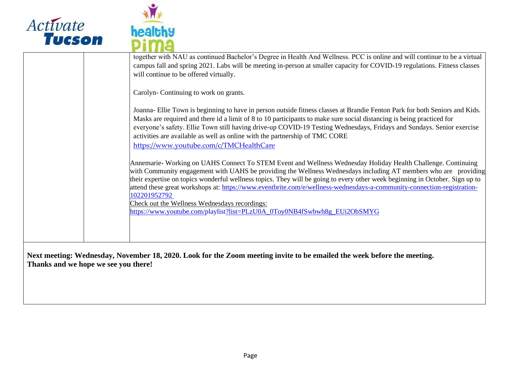![](_page_21_Picture_0.jpeg)

![](_page_21_Picture_1.jpeg)

| together with NAU as continued Bachelor's Degree in Health And Wellness. PCC is online and will continue to be a virtual<br>campus fall and spring 2021. Labs will be meeting in-person at smaller capacity for COVID-19 regulations. Fitness classes<br>will continue to be offered virtually.                                                                                                                                                                                                                                                                                                                                        |
|----------------------------------------------------------------------------------------------------------------------------------------------------------------------------------------------------------------------------------------------------------------------------------------------------------------------------------------------------------------------------------------------------------------------------------------------------------------------------------------------------------------------------------------------------------------------------------------------------------------------------------------|
| Carolyn-Continuing to work on grants.                                                                                                                                                                                                                                                                                                                                                                                                                                                                                                                                                                                                  |
| Joanna- Ellie Town is beginning to have in person outside fitness classes at Brandie Fenton Park for both Seniors and Kids.<br>Masks are required and there id a limit of 8 to 10 participants to make sure social distancing is being practiced for<br>everyone's safety. Ellie Town still having drive-up COVID-19 Testing Wednesdays, Fridays and Sundays. Senior exercise<br>activities are available as well as online with the partnership of TMC CORE<br>https://www.youtube.com/c/TMCHealthCare                                                                                                                                |
| Annemarie- Working on UAHS Connect To STEM Event and Wellness Wednesday Holiday Health Challenge. Continuing<br>with Community engagement with UAHS be providing the Wellness Wednesdays including AT members who are providing<br>their expertise on topics wonderful wellness topics. They will be going to every other week beginning in October. Sign up to<br>attend these great workshops at: https://www.eventbrite.com/e/wellness-wednesdays-a-community-connection-registration-<br>102201952792<br>Check out the Wellness Wednesdays recordings:<br>https://www.youtube.com/playlist?list=PLzU0A_0Toy0NB4fSwbwh8g_EUi2ObSMYG |
|                                                                                                                                                                                                                                                                                                                                                                                                                                                                                                                                                                                                                                        |

**Next meeting: Wednesday, November 18, 2020. Look for the Zoom meeting invite to be emailed the week before the meeting. Thanks and we hope we see you there!**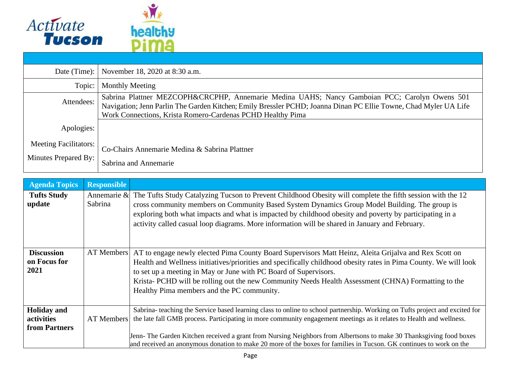![](_page_22_Picture_0.jpeg)

| Date (Time): $\vert$                                 | November 18, 2020 at 8:30 a.m.                                                                                                                                                                                                                                                  |
|------------------------------------------------------|---------------------------------------------------------------------------------------------------------------------------------------------------------------------------------------------------------------------------------------------------------------------------------|
| Topic:                                               | <b>Monthly Meeting</b>                                                                                                                                                                                                                                                          |
| Attendees:                                           | Sabrina Plattner MEZCOPH&CRCPHP, Annemarie Medina UAHS; Nancy Gamboian PCC; Carolyn Owens 501<br>Navigation; Jenn Parlin The Garden Kitchen; Emily Bressler PCHD; Joanna Dinan PC Ellie Towne, Chad Myler UA Life<br>Work Connections, Krista Romero-Cardenas PCHD Healthy Pima |
| Apologies:                                           |                                                                                                                                                                                                                                                                                 |
| <b>Meeting Facilitators:</b><br>Minutes Prepared By: | Co-Chairs Annemarie Medina & Sabrina Plattner<br>Sabrina and Annemarie                                                                                                                                                                                                          |

| <b>Agenda Topics</b>                              | <b>Responsible</b> |                                                                                                                                                                                                                                                                                                                                                                                                                                                                                                   |
|---------------------------------------------------|--------------------|---------------------------------------------------------------------------------------------------------------------------------------------------------------------------------------------------------------------------------------------------------------------------------------------------------------------------------------------------------------------------------------------------------------------------------------------------------------------------------------------------|
| <b>Tufts Study</b><br>update                      | Sabrina            | Annemarie $\&$ The Tufts Study Catalyzing Tucson to Prevent Childhood Obesity will complete the fifth session with the 12<br>cross community members on Community Based System Dynamics Group Model Building. The group is<br>exploring both what impacts and what is impacted by childhood obesity and poverty by participating in a<br>activity called casual loop diagrams. More information will be shared in January and February.                                                           |
| <b>Discussion</b><br>on Focus for<br>2021         |                    | AT Members AT to engage newly elected Pima County Board Supervisors Matt Heinz, Aleita Grijalva and Rex Scott on<br>Health and Wellness initiatives/priorities and specifically childhood obesity rates in Pima County. We will look<br>to set up a meeting in May or June with PC Board of Supervisors.<br>Krista- PCHD will be rolling out the new Community Needs Health Assessment (CHNA) Formatting to the<br>Healthy Pima members and the PC community.                                     |
| <b>Holiday</b> and<br>activities<br>from Partners | AT Members         | Sabrina- teaching the Service based learning class to online to school partnership. Working on Tufts project and excited for<br>the late fall GMB process. Participating in more community engagement meetings as it relates to Health and wellness.<br>Jenn-The Garden Kitchen received a grant from Nursing Neighbors from Albertsons to make 30 Thanksgiving food boxes<br>and received an anonymous donation to make 20 more of the boxes for families in Tucson. GK continues to work on the |